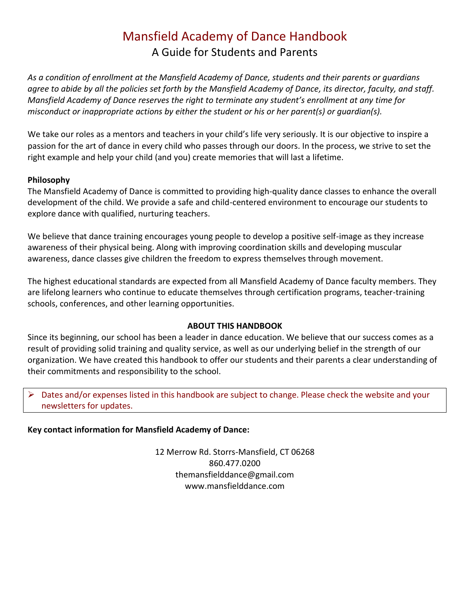# Mansfield Academy of Dance Handbook A Guide for Students and Parents

*As a condition of enrollment at the Mansfield Academy of Dance, students and their parents or guardians agree to abide by all the policies set forth by the Mansfield Academy of Dance, its director, faculty, and staff. Mansfield Academy of Dance reserves the right to terminate any student's enrollment at any time for misconduct or inappropriate actions by either the student or his or her parent(s) or guardian(s).*

We take our roles as a mentors and teachers in your child's life very seriously. It is our objective to inspire a passion for the art of dance in every child who passes through our doors. In the process, we strive to set the right example and help your child (and you) create memories that will last a lifetime.

## **Philosophy**

The Mansfield Academy of Dance is committed to providing high-quality dance classes to enhance the overall development of the child. We provide a safe and child-centered environment to encourage our students to explore dance with qualified, nurturing teachers.

We believe that dance training encourages young people to develop a positive self-image as they increase awareness of their physical being. Along with improving coordination skills and developing muscular awareness, dance classes give children the freedom to express themselves through movement.

The highest educational standards are expected from all Mansfield Academy of Dance faculty members. They are lifelong learners who continue to educate themselves through certification programs, teacher-training schools, conferences, and other learning opportunities.

## **ABOUT THIS HANDBOOK**

Since its beginning, our school has been a leader in dance education. We believe that our success comes as a result of providing solid training and quality service, as well as our underlying belief in the strength of our organization. We have created this handbook to offer our students and their parents a clear understanding of their commitments and responsibility to the school.

➢ Dates and/or expenses listed in this handbook are subject to change. Please check the website and your newsletters for updates.

### **Key contact information for Mansfield Academy of Dance:**

12 Merrow Rd. Storrs-Mansfield, CT 06268 860.477.0200 themansfielddance@gmail.com www.mansfielddance.com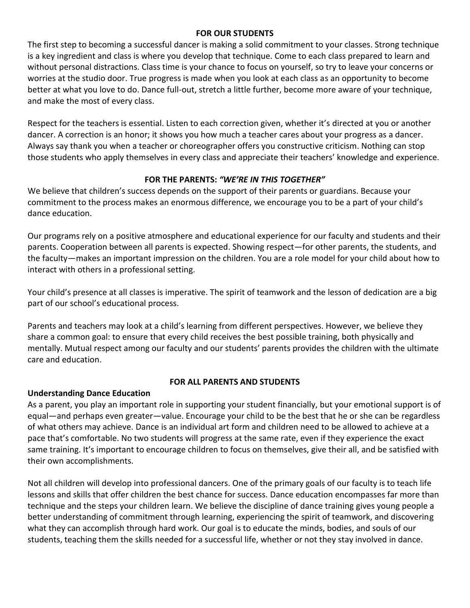## **FOR OUR STUDENTS**

The first step to becoming a successful dancer is making a solid commitment to your classes. Strong technique is a key ingredient and class is where you develop that technique. Come to each class prepared to learn and without personal distractions. Class time is your chance to focus on yourself, so try to leave your concerns or worries at the studio door. True progress is made when you look at each class as an opportunity to become better at what you love to do. Dance full-out, stretch a little further, become more aware of your technique, and make the most of every class.

Respect for the teachers is essential. Listen to each correction given, whether it's directed at you or another dancer. A correction is an honor; it shows you how much a teacher cares about your progress as a dancer. Always say thank you when a teacher or choreographer offers you constructive criticism. Nothing can stop those students who apply themselves in every class and appreciate their teachers' knowledge and experience.

## **FOR THE PARENTS:** *"WE'RE IN THIS TOGETHER"*

We believe that children's success depends on the support of their parents or guardians. Because your commitment to the process makes an enormous difference, we encourage you to be a part of your child's dance education.

Our programs rely on a positive atmosphere and educational experience for our faculty and students and their parents. Cooperation between all parents is expected. Showing respect—for other parents, the students, and the faculty—makes an important impression on the children. You are a role model for your child about how to interact with others in a professional setting.

Your child's presence at all classes is imperative. The spirit of teamwork and the lesson of dedication are a big part of our school's educational process.

Parents and teachers may look at a child's learning from different perspectives. However, we believe they share a common goal: to ensure that every child receives the best possible training, both physically and mentally. Mutual respect among our faculty and our students' parents provides the children with the ultimate care and education.

### **Understanding Dance Education**

### **FOR ALL PARENTS AND STUDENTS**

As a parent, you play an important role in supporting your student financially, but your emotional support is of equal—and perhaps even greater—value. Encourage your child to be the best that he or she can be regardless of what others may achieve. Dance is an individual art form and children need to be allowed to achieve at a pace that's comfortable. No two students will progress at the same rate, even if they experience the exact same training. It's important to encourage children to focus on themselves, give their all, and be satisfied with their own accomplishments.

Not all children will develop into professional dancers. One of the primary goals of our faculty is to teach life lessons and skills that offer children the best chance for success. Dance education encompasses far more than technique and the steps your children learn. We believe the discipline of dance training gives young people a better understanding of commitment through learning, experiencing the spirit of teamwork, and discovering what they can accomplish through hard work. Our goal is to educate the minds, bodies, and souls of our students, teaching them the skills needed for a successful life, whether or not they stay involved in dance.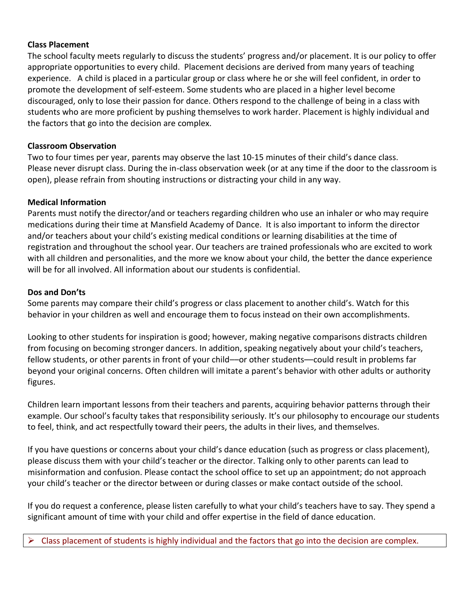## **Class Placement**

The school faculty meets regularly to discuss the students' progress and/or placement. It is our policy to offer appropriate opportunities to every child. Placement decisions are derived from many years of teaching experience. A child is placed in a particular group or class where he or she will feel confident, in order to promote the development of self-esteem. Some students who are placed in a higher level become discouraged, only to lose their passion for dance. Others respond to the challenge of being in a class with students who are more proficient by pushing themselves to work harder. Placement is highly individual and the factors that go into the decision are complex.

## **Classroom Observation**

Two to four times per year, parents may observe the last 10-15 minutes of their child's dance class. Please never disrupt class. During the in-class observation week (or at any time if the door to the classroom is open), please refrain from shouting instructions or distracting your child in any way.

## **Medical Information**

Parents must notify the director/and or teachers regarding children who use an inhaler or who may require medications during their time at Mansfield Academy of Dance. It is also important to inform the director and/or teachers about your child's existing medical conditions or learning disabilities at the time of registration and throughout the school year. Our teachers are trained professionals who are excited to work with all children and personalities, and the more we know about your child, the better the dance experience will be for all involved. All information about our students is confidential.

### **Dos and Don'ts**

Some parents may compare their child's progress or class placement to another child's. Watch for this behavior in your children as well and encourage them to focus instead on their own accomplishments.

Looking to other students for inspiration is good; however, making negative comparisons distracts children from focusing on becoming stronger dancers. In addition, speaking negatively about your child's teachers, fellow students, or other parents in front of your child—or other students—could result in problems far beyond your original concerns. Often children will imitate a parent's behavior with other adults or authority figures.

Children learn important lessons from their teachers and parents, acquiring behavior patterns through their example. Our school's faculty takes that responsibility seriously. It's our philosophy to encourage our students to feel, think, and act respectfully toward their peers, the adults in their lives, and themselves.

If you have questions or concerns about your child's dance education (such as progress or class placement), please discuss them with your child's teacher or the director. Talking only to other parents can lead to misinformation and confusion. Please contact the school office to set up an appointment; do not approach your child's teacher or the director between or during classes or make contact outside of the school.

If you do request a conference, please listen carefully to what your child's teachers have to say. They spend a significant amount of time with your child and offer expertise in the field of dance education.

 $\triangleright$  Class placement of students is highly individual and the factors that go into the decision are complex.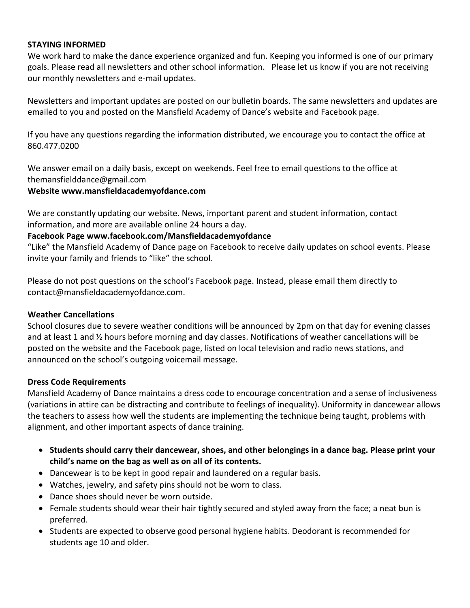#### **STAYING INFORMED**

We work hard to make the dance experience organized and fun. Keeping you informed is one of our primary goals. Please read all newsletters and other school information. Please let us know if you are not receiving our monthly newsletters and e-mail updates.

Newsletters and important updates are posted on our bulletin boards. The same newsletters and updates are emailed to you and posted on the Mansfield Academy of Dance's website and Facebook page.

If you have any questions regarding the information distributed, we encourage you to contact the office at 860.477.0200

We answer email on a daily basis, except on weekends. Feel free to email questions to the office at themansfielddance@gmail.com

#### **Website www.mansfieldacademyofdance.com**

We are constantly updating our website. News, important parent and student information, contact information, and more are available online 24 hours a day.

### **Facebook Page www.facebook.com/Mansfieldacademyofdance**

"Like" the Mansfield Academy of Dance page on Facebook to receive daily updates on school events. Please invite your family and friends to "like" the school.

Please do not post questions on the school's Facebook page. Instead, please email them directly to contact@mansfieldacademyofdance.com.

### **Weather Cancellations**

School closures due to severe weather conditions will be announced by 2pm on that day for evening classes and at least 1 and ½ hours before morning and day classes. Notifications of weather cancellations will be posted on the website and the Facebook page, listed on local television and radio news stations, and announced on the school's outgoing voicemail message.

### **Dress Code Requirements**

Mansfield Academy of Dance maintains a dress code to encourage concentration and a sense of inclusiveness (variations in attire can be distracting and contribute to feelings of inequality). Uniformity in dancewear allows the teachers to assess how well the students are implementing the technique being taught, problems with alignment, and other important aspects of dance training.

- **Students should carry their dancewear, shoes, and other belongings in a dance bag. Please print your child's name on the bag as well as on all of its contents.**
- Dancewear is to be kept in good repair and laundered on a regular basis.
- Watches, jewelry, and safety pins should not be worn to class.
- Dance shoes should never be worn outside.
- Female students should wear their hair tightly secured and styled away from the face; a neat bun is preferred.
- Students are expected to observe good personal hygiene habits. Deodorant is recommended for students age 10 and older.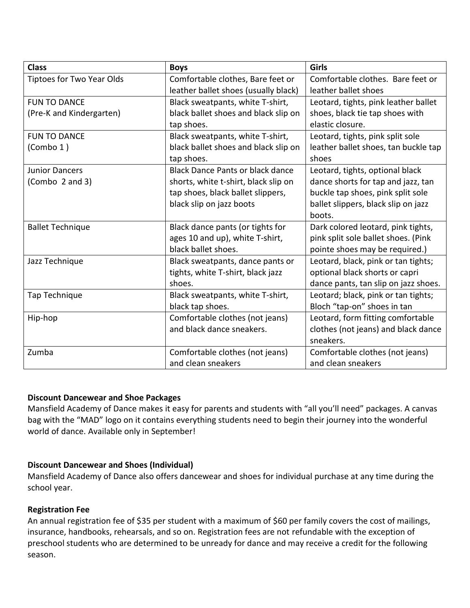| <b>Class</b>                     | <b>Boys</b>                             | Girls                                |
|----------------------------------|-----------------------------------------|--------------------------------------|
| <b>Tiptoes for Two Year Olds</b> | Comfortable clothes, Bare feet or       | Comfortable clothes. Bare feet or    |
|                                  | leather ballet shoes (usually black)    | leather ballet shoes                 |
| <b>FUN TO DANCE</b>              | Black sweatpants, white T-shirt,        | Leotard, tights, pink leather ballet |
| (Pre-K and Kindergarten)         | black ballet shoes and black slip on    | shoes, black tie tap shoes with      |
|                                  | tap shoes.                              | elastic closure.                     |
| <b>FUN TO DANCE</b>              | Black sweatpants, white T-shirt,        | Leotard, tights, pink split sole     |
| (Combo 1)                        | black ballet shoes and black slip on    | leather ballet shoes, tan buckle tap |
|                                  | tap shoes.                              | shoes                                |
| <b>Junior Dancers</b>            | <b>Black Dance Pants or black dance</b> | Leotard, tights, optional black      |
| (Combo 2 and 3)                  | shorts, white t-shirt, black slip on    | dance shorts for tap and jazz, tan   |
|                                  | tap shoes, black ballet slippers,       | buckle tap shoes, pink split sole    |
|                                  | black slip on jazz boots                | ballet slippers, black slip on jazz  |
|                                  |                                         | boots.                               |
| <b>Ballet Technique</b>          | Black dance pants (or tights for        | Dark colored leotard, pink tights,   |
|                                  | ages 10 and up), white T-shirt,         | pink split sole ballet shoes. (Pink  |
|                                  | black ballet shoes.                     | pointe shoes may be required.)       |
| Jazz Technique                   | Black sweatpants, dance pants or        | Leotard, black, pink or tan tights;  |
|                                  | tights, white T-shirt, black jazz       | optional black shorts or capri       |
|                                  | shoes.                                  | dance pants, tan slip on jazz shoes. |
| Tap Technique                    | Black sweatpants, white T-shirt,        | Leotard; black, pink or tan tights;  |
|                                  | black tap shoes.                        | Bloch "tap-on" shoes in tan          |
| Hip-hop                          | Comfortable clothes (not jeans)         | Leotard, form fitting comfortable    |
|                                  | and black dance sneakers.               | clothes (not jeans) and black dance  |
|                                  |                                         | sneakers.                            |
| Zumba                            | Comfortable clothes (not jeans)         | Comfortable clothes (not jeans)      |
|                                  | and clean sneakers                      | and clean sneakers                   |

## **Discount Dancewear and Shoe Packages**

Mansfield Academy of Dance makes it easy for parents and students with "all you'll need" packages. A canvas bag with the "MAD" logo on it contains everything students need to begin their journey into the wonderful world of dance. Available only in September!

## **Discount Dancewear and Shoes (Individual)**

Mansfield Academy of Dance also offers dancewear and shoes for individual purchase at any time during the school year.

## **Registration Fee**

An annual registration fee of \$35 per student with a maximum of \$60 per family covers the cost of mailings, insurance, handbooks, rehearsals, and so on. Registration fees are not refundable with the exception of preschool students who are determined to be unready for dance and may receive a credit for the following season.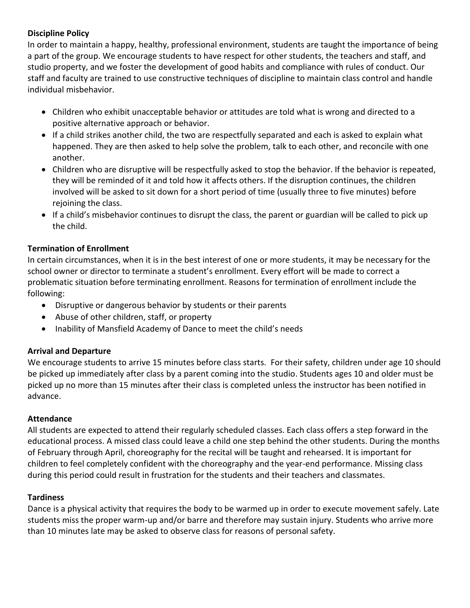# **Discipline Policy**

In order to maintain a happy, healthy, professional environment, students are taught the importance of being a part of the group. We encourage students to have respect for other students, the teachers and staff, and studio property, and we foster the development of good habits and compliance with rules of conduct. Our staff and faculty are trained to use constructive techniques of discipline to maintain class control and handle individual misbehavior.

- Children who exhibit unacceptable behavior or attitudes are told what is wrong and directed to a positive alternative approach or behavior.
- If a child strikes another child, the two are respectfully separated and each is asked to explain what happened. They are then asked to help solve the problem, talk to each other, and reconcile with one another.
- Children who are disruptive will be respectfully asked to stop the behavior. If the behavior is repeated, they will be reminded of it and told how it affects others. If the disruption continues, the children involved will be asked to sit down for a short period of time (usually three to five minutes) before rejoining the class.
- If a child's misbehavior continues to disrupt the class, the parent or guardian will be called to pick up the child.

# **Termination of Enrollment**

In certain circumstances, when it is in the best interest of one or more students, it may be necessary for the school owner or director to terminate a student's enrollment. Every effort will be made to correct a problematic situation before terminating enrollment. Reasons for termination of enrollment include the following:

- Disruptive or dangerous behavior by students or their parents
- Abuse of other children, staff, or property
- Inability of Mansfield Academy of Dance to meet the child's needs

## **Arrival and Departure**

We encourage students to arrive 15 minutes before class starts. For their safety, children under age 10 should be picked up immediately after class by a parent coming into the studio. Students ages 10 and older must be picked up no more than 15 minutes after their class is completed unless the instructor has been notified in advance.

## **Attendance**

All students are expected to attend their regularly scheduled classes. Each class offers a step forward in the educational process. A missed class could leave a child one step behind the other students. During the months of February through April, choreography for the recital will be taught and rehearsed. It is important for children to feel completely confident with the choreography and the year-end performance. Missing class during this period could result in frustration for the students and their teachers and classmates.

## **Tardiness**

Dance is a physical activity that requires the body to be warmed up in order to execute movement safely. Late students miss the proper warm-up and/or barre and therefore may sustain injury. Students who arrive more than 10 minutes late may be asked to observe class for reasons of personal safety.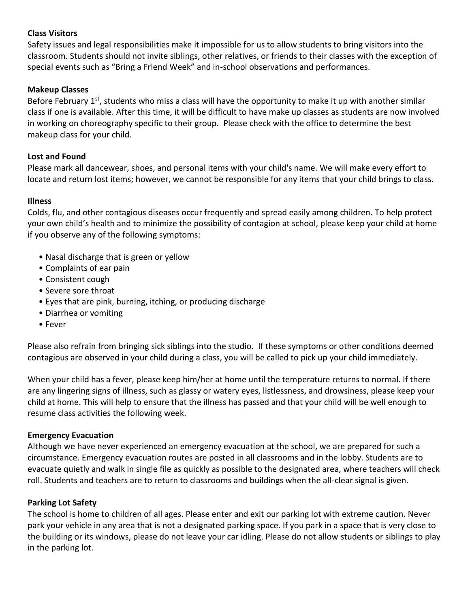## **Class Visitors**

Safety issues and legal responsibilities make it impossible for us to allow students to bring visitors into the classroom. Students should not invite siblings, other relatives, or friends to their classes with the exception of special events such as "Bring a Friend Week" and in-school observations and performances.

### **Makeup Classes**

Before February 1<sup>st</sup>, students who miss a class will have the opportunity to make it up with another similar class if one is available. After this time, it will be difficult to have make up classes as students are now involved in working on choreography specific to their group. Please check with the office to determine the best makeup class for your child.

#### **Lost and Found**

Please mark all dancewear, shoes, and personal items with your child's name. We will make every effort to locate and return lost items; however, we cannot be responsible for any items that your child brings to class.

### **Illness**

Colds, flu, and other contagious diseases occur frequently and spread easily among children. To help protect your own child's health and to minimize the possibility of contagion at school, please keep your child at home if you observe any of the following symptoms:

- Nasal discharge that is green or yellow
- Complaints of ear pain
- Consistent cough
- Severe sore throat
- Eyes that are pink, burning, itching, or producing discharge
- Diarrhea or vomiting
- Fever

Please also refrain from bringing sick siblings into the studio. If these symptoms or other conditions deemed contagious are observed in your child during a class, you will be called to pick up your child immediately.

When your child has a fever, please keep him/her at home until the temperature returns to normal. If there are any lingering signs of illness, such as glassy or watery eyes, listlessness, and drowsiness, please keep your child at home. This will help to ensure that the illness has passed and that your child will be well enough to resume class activities the following week.

### **Emergency Evacuation**

Although we have never experienced an emergency evacuation at the school, we are prepared for such a circumstance. Emergency evacuation routes are posted in all classrooms and in the lobby. Students are to evacuate quietly and walk in single file as quickly as possible to the designated area, where teachers will check roll. Students and teachers are to return to classrooms and buildings when the all-clear signal is given.

#### **Parking Lot Safety**

The school is home to children of all ages. Please enter and exit our parking lot with extreme caution. Never park your vehicle in any area that is not a designated parking space. If you park in a space that is very close to the building or its windows, please do not leave your car idling. Please do not allow students or siblings to play in the parking lot.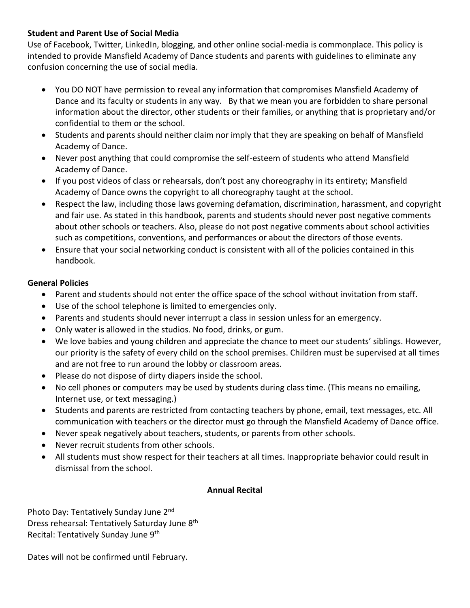# **Student and Parent Use of Social Media**

Use of Facebook, Twitter, LinkedIn, blogging, and other online social-media is commonplace. This policy is intended to provide Mansfield Academy of Dance students and parents with guidelines to eliminate any confusion concerning the use of social media.

- You DO NOT have permission to reveal any information that compromises Mansfield Academy of Dance and its faculty or students in any way. By that we mean you are forbidden to share personal information about the director, other students or their families, or anything that is proprietary and/or confidential to them or the school.
- Students and parents should neither claim nor imply that they are speaking on behalf of Mansfield Academy of Dance.
- Never post anything that could compromise the self-esteem of students who attend Mansfield Academy of Dance.
- If you post videos of class or rehearsals, don't post any choreography in its entirety; Mansfield Academy of Dance owns the copyright to all choreography taught at the school.
- Respect the law, including those laws governing defamation, discrimination, harassment, and copyright and fair use. As stated in this handbook, parents and students should never post negative comments about other schools or teachers. Also, please do not post negative comments about school activities such as competitions, conventions, and performances or about the directors of those events.
- Ensure that your social networking conduct is consistent with all of the policies contained in this handbook.

# **General Policies**

- Parent and students should not enter the office space of the school without invitation from staff.
- Use of the school telephone is limited to emergencies only.
- Parents and students should never interrupt a class in session unless for an emergency.
- Only water is allowed in the studios. No food, drinks, or gum.
- We love babies and young children and appreciate the chance to meet our students' siblings. However, our priority is the safety of every child on the school premises. Children must be supervised at all times and are not free to run around the lobby or classroom areas.
- Please do not dispose of dirty diapers inside the school.
- No cell phones or computers may be used by students during class time. (This means no emailing, Internet use, or text messaging.)
- Students and parents are restricted from contacting teachers by phone, email, text messages, etc. All communication with teachers or the director must go through the Mansfield Academy of Dance office.
- Never speak negatively about teachers, students, or parents from other schools.
- Never recruit students from other schools.
- All students must show respect for their teachers at all times. Inappropriate behavior could result in dismissal from the school.

## **Annual Recital**

Photo Day: Tentatively Sunday June 2nd Dress rehearsal: Tentatively Saturday June 8<sup>th</sup> Recital: Tentatively Sunday June 9<sup>th</sup>

Dates will not be confirmed until February.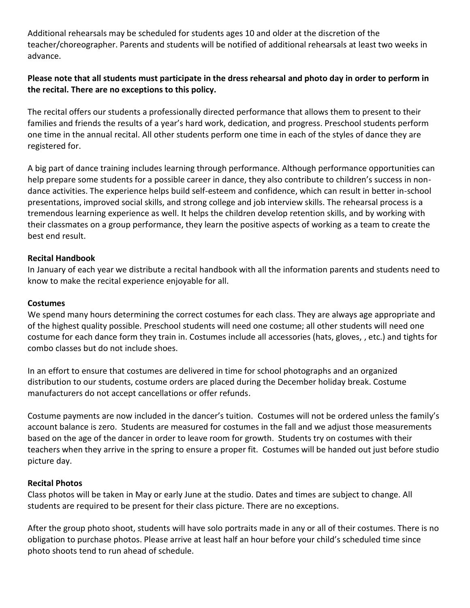Additional rehearsals may be scheduled for students ages 10 and older at the discretion of the teacher/choreographer. Parents and students will be notified of additional rehearsals at least two weeks in advance.

# **Please note that all students must participate in the dress rehearsal and photo day in order to perform in the recital. There are no exceptions to this policy.**

The recital offers our students a professionally directed performance that allows them to present to their families and friends the results of a year's hard work, dedication, and progress. Preschool students perform one time in the annual recital. All other students perform one time in each of the styles of dance they are registered for.

A big part of dance training includes learning through performance. Although performance opportunities can help prepare some students for a possible career in dance, they also contribute to children's success in nondance activities. The experience helps build self-esteem and confidence, which can result in better in-school presentations, improved social skills, and strong college and job interview skills. The rehearsal process is a tremendous learning experience as well. It helps the children develop retention skills, and by working with their classmates on a group performance, they learn the positive aspects of working as a team to create the best end result.

## **Recital Handbook**

In January of each year we distribute a recital handbook with all the information parents and students need to know to make the recital experience enjoyable for all.

## **Costumes**

We spend many hours determining the correct costumes for each class. They are always age appropriate and of the highest quality possible. Preschool students will need one costume; all other students will need one costume for each dance form they train in. Costumes include all accessories (hats, gloves, , etc.) and tights for combo classes but do not include shoes.

In an effort to ensure that costumes are delivered in time for school photographs and an organized distribution to our students, costume orders are placed during the December holiday break. Costume manufacturers do not accept cancellations or offer refunds.

Costume payments are now included in the dancer's tuition. Costumes will not be ordered unless the family's account balance is zero. Students are measured for costumes in the fall and we adjust those measurements based on the age of the dancer in order to leave room for growth. Students try on costumes with their teachers when they arrive in the spring to ensure a proper fit. Costumes will be handed out just before studio picture day.

### **Recital Photos**

Class photos will be taken in May or early June at the studio. Dates and times are subject to change. All students are required to be present for their class picture. There are no exceptions.

After the group photo shoot, students will have solo portraits made in any or all of their costumes. There is no obligation to purchase photos. Please arrive at least half an hour before your child's scheduled time since photo shoots tend to run ahead of schedule.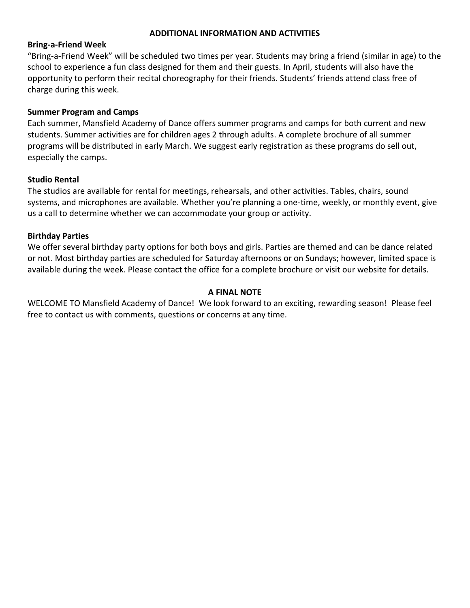## **ADDITIONAL INFORMATION AND ACTIVITIES**

#### **Bring-a-Friend Week**

"Bring-a-Friend Week" will be scheduled two times per year. Students may bring a friend (similar in age) to the school to experience a fun class designed for them and their guests. In April, students will also have the opportunity to perform their recital choreography for their friends. Students' friends attend class free of charge during this week.

### **Summer Program and Camps**

Each summer, Mansfield Academy of Dance offers summer programs and camps for both current and new students. Summer activities are for children ages 2 through adults. A complete brochure of all summer programs will be distributed in early March. We suggest early registration as these programs do sell out, especially the camps.

#### **Studio Rental**

The studios are available for rental for meetings, rehearsals, and other activities. Tables, chairs, sound systems, and microphones are available. Whether you're planning a one-time, weekly, or monthly event, give us a call to determine whether we can accommodate your group or activity.

#### **Birthday Parties**

We offer several birthday party options for both boys and girls. Parties are themed and can be dance related or not. Most birthday parties are scheduled for Saturday afternoons or on Sundays; however, limited space is available during the week. Please contact the office for a complete brochure or visit our website for details.

### **A FINAL NOTE**

WELCOME TO Mansfield Academy of Dance! We look forward to an exciting, rewarding season! Please feel free to contact us with comments, questions or concerns at any time.